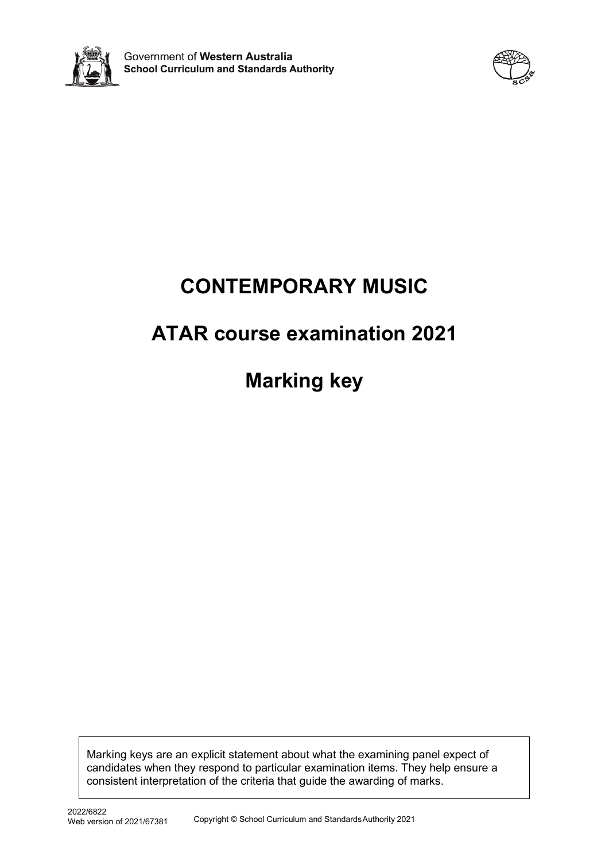



# **CONTEMPORARY MUSIC**

# **ATAR course examination 2021**

**Marking key**

Marking keys are an explicit statement about what the examining panel expect of candidates when they respond to particular examination items. They help ensure a consistent interpretation of the criteria that guide the awarding of marks.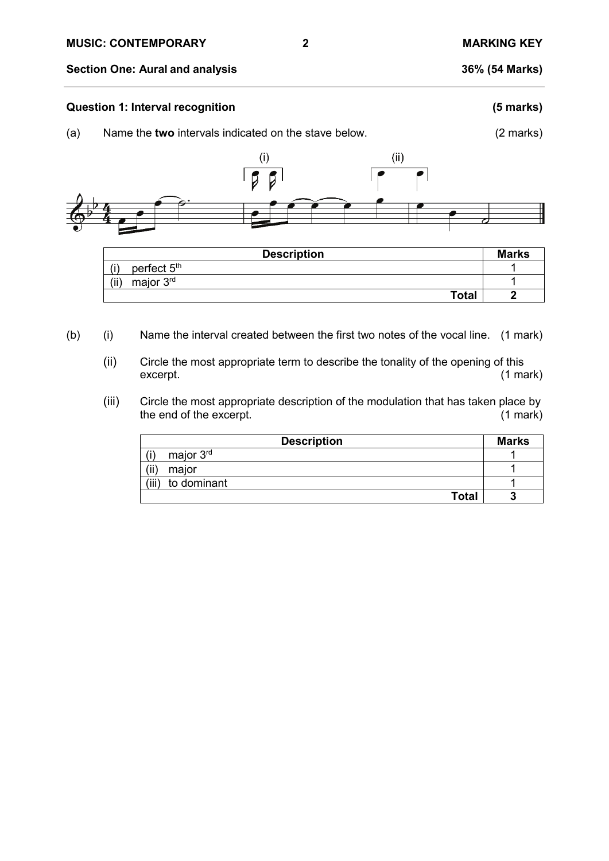#### **Section One: Aural and analysis 36% (54 Marks)**

#### **Question 1: Interval recognition (5 marks)**

(a) Name the **two** intervals indicated on the stave below. (2 marks)



| <b>Description</b>             | <b>Marks</b> |
|--------------------------------|--------------|
| perfect 5 <sup>th</sup><br>(i) |              |
| major 3 <sup>rd</sup><br>(ii)  |              |
| <b>Total</b>                   |              |

- (b) (i) Name the interval created between the first two notes of the vocal line. (1 mark)
	- (ii) Circle the most appropriate term to describe the tonality of the opening of this excerpt. excerpt. (1 mark)
	- (iii) Circle the most appropriate description of the modulation that has taken place by<br>the end of the excerpt. (1 mark) the end of the excerpt.

| <b>Description</b>   | <b>Marks</b> |
|----------------------|--------------|
| major 3rd            |              |
| (ii)<br>major        |              |
| (iii)<br>to dominant |              |
| <b>Total</b>         |              |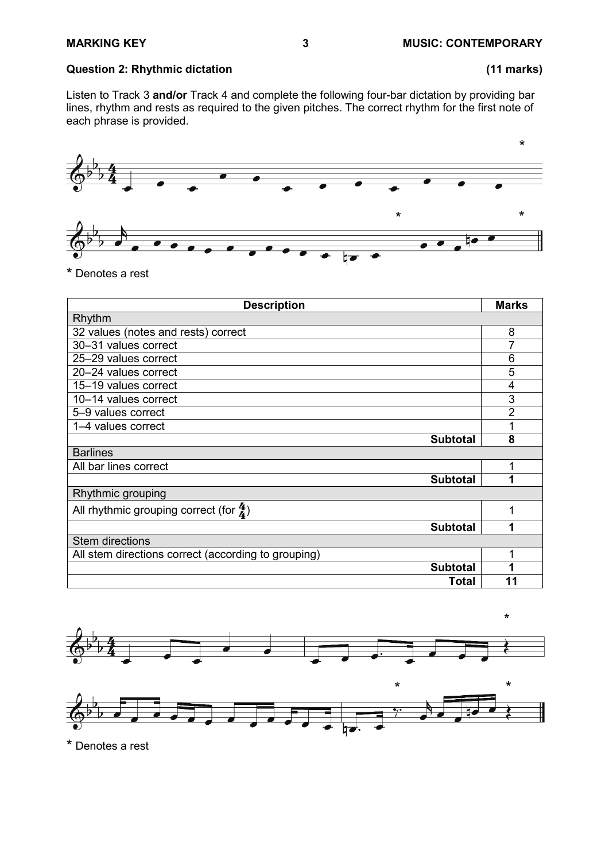# **Question 2: Rhythmic dictation (11 marks)**

Listen to Track 3 **and/or** Track 4 and complete the following four-bar dictation by providing bar lines, rhythm and rests as required to the given pitches. The correct rhythm for the first note of each phrase is provided.



<sup>\*</sup> Denotes a rest

| <b>Description</b>                                  | <b>Marks</b>   |
|-----------------------------------------------------|----------------|
| Rhythm                                              |                |
| 32 values (notes and rests) correct                 | 8              |
| 30-31 values correct                                |                |
| 25-29 values correct                                | 6              |
| 20-24 values correct                                | 5              |
| 15-19 values correct                                | 4              |
| 10-14 values correct                                | 3              |
| 5-9 values correct                                  | $\overline{2}$ |
| 1-4 values correct                                  |                |
| <b>Subtotal</b>                                     | 8              |
| <b>Barlines</b>                                     |                |
| All bar lines correct                               | 1              |
| <b>Subtotal</b>                                     | 4              |
| Rhythmic grouping                                   |                |
| All rhythmic grouping correct (for $\frac{4}{4}$ )  |                |
| <b>Subtotal</b>                                     | 1              |
| <b>Stem directions</b>                              |                |
| All stem directions correct (according to grouping) |                |
| <b>Subtotal</b>                                     |                |
| Total                                               | 11             |





\* Denotes a rest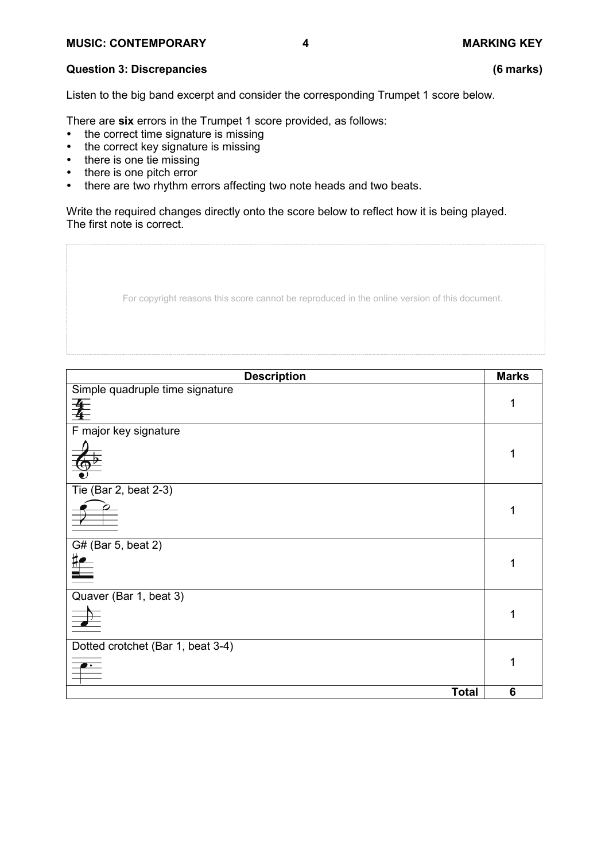# **Question 3: Discrepancies (6 marks)**

Listen to the big band excerpt and consider the corresponding Trumpet 1 score below.

There are **six** errors in the Trumpet 1 score provided, as follows:

- the correct time signature is missing
- the correct key signature is missing
- there is one tie missing
- there is one pitch error
- there are two rhythm errors affecting two note heads and two beats.

Write the required changes directly onto the score below to reflect how it is being played. The first note is correct.

| For copyright reasons this score cannot be reproduced in the online version of this document. |
|-----------------------------------------------------------------------------------------------|
|                                                                                               |

| <b>Description</b>                | <b>Marks</b> |
|-----------------------------------|--------------|
| Simple quadruple time signature   |              |
| 夆                                 | 1            |
|                                   |              |
| F major key signature             |              |
|                                   |              |
|                                   |              |
|                                   |              |
| Tie (Bar 2, beat 2-3)             |              |
|                                   |              |
|                                   |              |
|                                   |              |
| G# (Bar 5, beat 2)                |              |
|                                   | 1            |
| $\equiv$                          |              |
| Quaver (Bar 1, beat 3)            |              |
|                                   | 1            |
| $\frac{1}{\sqrt{2}}$              |              |
|                                   |              |
| Dotted crotchet (Bar 1, beat 3-4) |              |
| $\overline{\phantom{a}}$          | 1            |
|                                   |              |
| <b>Total</b>                      | 6            |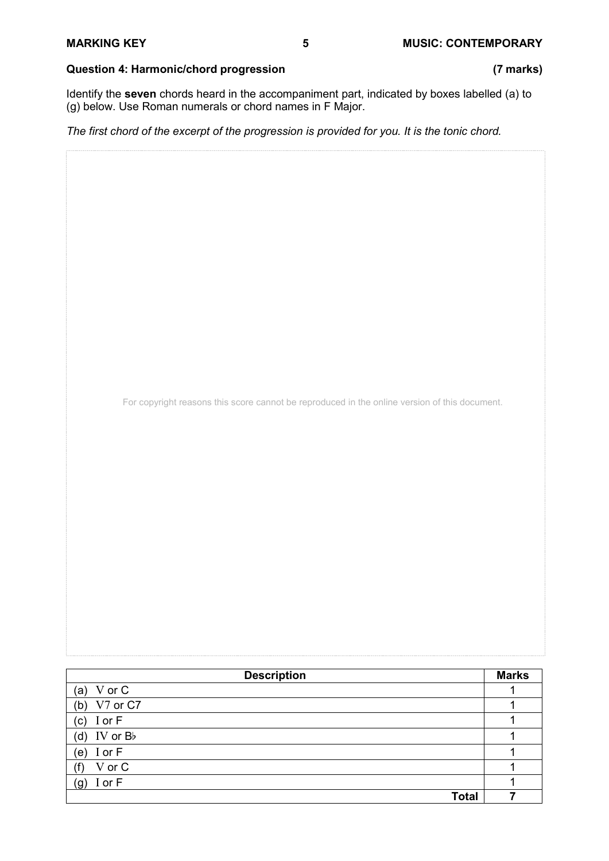# **Question 4: Harmonic/chord progression (7 marks)**

Identify the **seven** chords heard in the accompaniment part, indicated by boxes labelled (a) to (g) below. Use Roman numerals or chord names in F Major.

*The first chord of the excerpt of the progression is provided for you. It is the tonic chord.*

For copyright reasons this score cannot be reproduced in the online version of this document.

| <b>Description</b> | <b>Marks</b> |
|--------------------|--------------|
| (a) $V$ or $C$     |              |
| V7 or C7<br>(b)    |              |
| (c) $I$ or $F$     |              |
| (d) IV or $B$      |              |
| I or F<br>(e)      |              |
| V or C             |              |
| I or F<br>(g)      |              |
| <b>Total</b>       |              |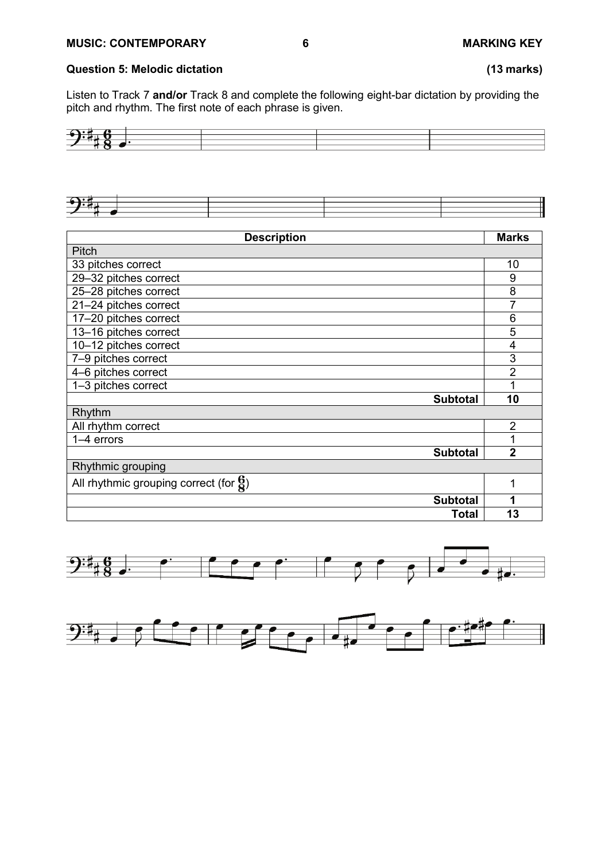# **Question 5: Melodic dictation (13 marks)**

Listen to Track 7 **and/or** Track 8 and complete the following eight-bar dictation by providing the pitch and rhythm. The first note of each phrase is given.





| <b>Description</b>                                 | <b>Marks</b>   |
|----------------------------------------------------|----------------|
| Pitch                                              |                |
| 33 pitches correct                                 | 10             |
| 29-32 pitches correct                              | 9              |
| 25-28 pitches correct                              | 8              |
| 21-24 pitches correct                              | 7              |
| 17-20 pitches correct                              | 6              |
| 13-16 pitches correct                              | 5              |
| 10-12 pitches correct                              | 4              |
| 7-9 pitches correct                                | 3              |
| 4-6 pitches correct                                | $\overline{2}$ |
| 1-3 pitches correct                                | 1              |
| <b>Subtotal</b>                                    | 10             |
| Rhythm                                             |                |
| All rhythm correct                                 | $\overline{2}$ |
| $1-4$ errors                                       | 1              |
| <b>Subtotal</b>                                    | $\overline{2}$ |
| Rhythmic grouping                                  |                |
| All rhythmic grouping correct (for $\frac{6}{8}$ ) | 1              |
| <b>Subtotal</b>                                    | 1              |
| <b>Total</b>                                       | 13             |



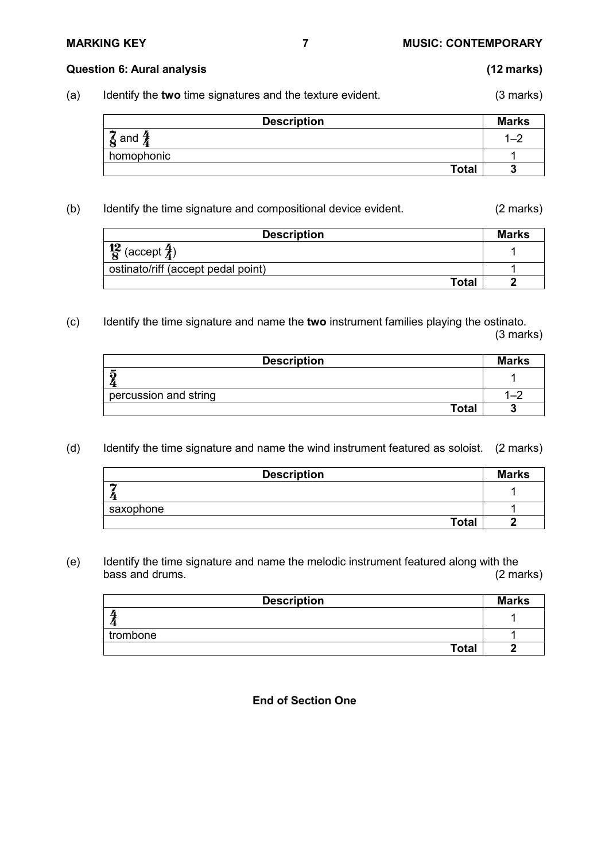# **MARKING KEY 7 MUSIC: CONTEMPORARY**

### **Question 6: Aural analysis (12 marks)**

(a) Identify the **two** time signatures and the texture evident. (3 marks)

| <b>Description</b>              | <b>Marks</b> |
|---------------------------------|--------------|
| $\frac{2}{8}$ and $\frac{2}{4}$ |              |
| homophonic                      |              |
| <b>Total</b>                    |              |

(b) Identify the time signature and compositional device evident. (2 marks)

| <b>Description</b>                     | <b>Marks</b> |
|----------------------------------------|--------------|
| $\frac{12}{8}$ (accept $\frac{7}{4}$ ) |              |
| ostinato/riff (accept pedal point)     |              |
| Total                                  |              |

(c) Identify the time signature and name the **two** instrument families playing the ostinato. (3 marks)

| <b>Description</b>    | <b>Marks</b> |
|-----------------------|--------------|
| ភ                     |              |
| percussion and string |              |
| <b>Total</b>          |              |

(d) Identify the time signature and name the wind instrument featured as soloist. (2 marks)

| <b>Description</b> | <b>Marks</b> |
|--------------------|--------------|
|                    |              |
| saxophone          |              |
| <b>Total</b>       |              |

(e) Identify the time signature and name the melodic instrument featured along with the bass and drums.

| <b>Description</b> | <b>Marks</b> |
|--------------------|--------------|
|                    |              |
| trombone           |              |
| <b>Total</b>       |              |

**End of Section One**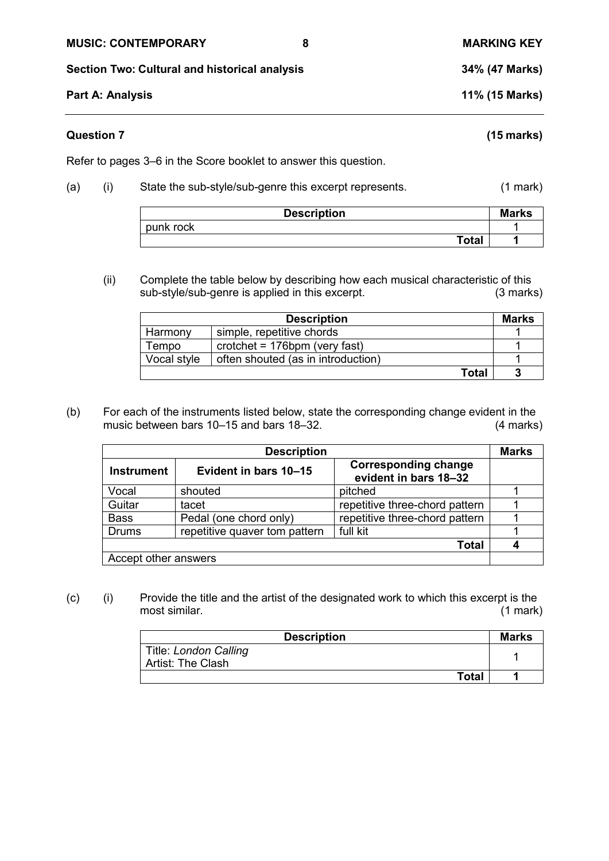## **MUSIC: CONTEMPORARY 8 MARKING KEY**

**Section Two: Cultural and historical analysis 34% (47 Marks)**

**Part A: Analysis 11% (15 Marks)**

# **Question 7 (15 marks)**

Refer to pages 3–6 in the Score booklet to answer this question.

(a) (i) State the sub-style/sub-genre this excerpt represents. (1 mark)

| <b>Description</b> |              | <b>Marks</b> |
|--------------------|--------------|--------------|
| punk rock          |              |              |
|                    | <b>Total</b> |              |

(ii) Complete the table below by describing how each musical characteristic of this sub-style/sub-genre is applied in this excerpt. (3 marks)

|             | <b>Description</b>                             | Marks |
|-------------|------------------------------------------------|-------|
| Harmony     | simple, repetitive chords                      |       |
| Tempo       | $\text{crotchet} = 176 \text{bpm}$ (very fast) |       |
| Vocal style | often shouted (as in introduction)             |       |
|             | Total                                          |       |

(b) For each of the instruments listed below, state the corresponding change evident in the music between bars 10–15 and bars 18–32. (4 marks)

| <b>Description</b>   |                               | <b>Marks</b>                                         |  |
|----------------------|-------------------------------|------------------------------------------------------|--|
| <b>Instrument</b>    | Evident in bars 10-15         | <b>Corresponding change</b><br>evident in bars 18-32 |  |
| Vocal                | shouted                       | pitched                                              |  |
| Guitar               | tacet                         | repetitive three-chord pattern                       |  |
| <b>Bass</b>          | Pedal (one chord only)        | repetitive three-chord pattern                       |  |
| <b>Drums</b>         | repetitive quaver tom pattern | full kit                                             |  |
|                      |                               | Total                                                |  |
| Accept other answers |                               |                                                      |  |

(c) (i) Provide the title and the artist of the designated work to which this excerpt is the most similar. (1 mark)

| <b>Description</b>                         | Marks |
|--------------------------------------------|-------|
| Title: London Calling<br>Artist: The Clash |       |
| <b>Total</b>                               |       |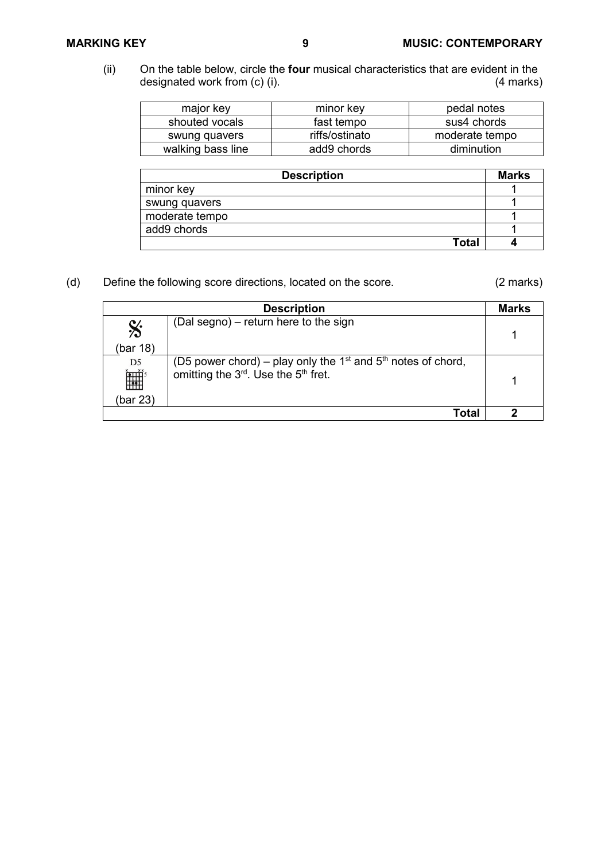(ii) On the table below, circle the **four** musical characteristics that are evident in the designated work from (c) (i).

| major key         | minor key      | pedal notes    |
|-------------------|----------------|----------------|
| shouted vocals    | fast tempo     | sus4 chords    |
| swung quavers     | riffs/ostinato | moderate tempo |
| walking bass line | add9 chords    | diminution     |

| <b>Description</b> | <b>Marks</b> |
|--------------------|--------------|
| minor key          |              |
| swung quavers      |              |
| moderate tempo     |              |
| add9 chords        |              |
| Total              |              |

(d) Define the following score directions, located on the score. (2 marks)

|                       | <b>Description</b>                                                                                                               | <b>Marks</b> |
|-----------------------|----------------------------------------------------------------------------------------------------------------------------------|--------------|
| $\mathbf{\%}$         | (Dal segno) – return here to the sign                                                                                            |              |
| (bar 18)              |                                                                                                                                  |              |
| D <sub>5</sub><br>Ì₩, | (D5 power chord) – play only the $1st$ and $5th$ notes of chord,<br>omitting the 3 <sup>rd</sup> . Use the 5 <sup>th</sup> fret. |              |
| (bar 23)              |                                                                                                                                  |              |
|                       | Total                                                                                                                            |              |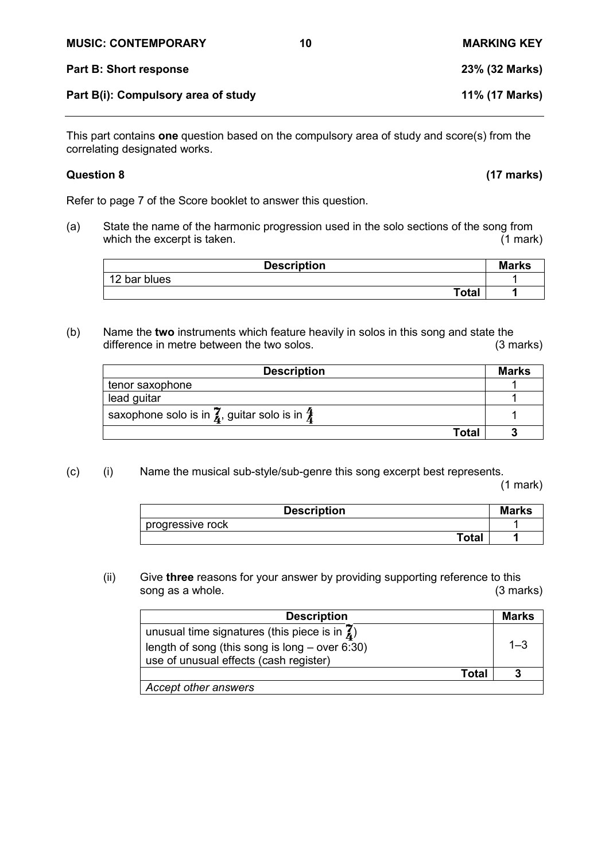| <b>MUSIC: CONTEMPORARY</b>          | 10 | <b>MARKING KEY</b> |
|-------------------------------------|----|--------------------|
| Part B: Short response              |    | 23% (32 Marks)     |
| Part B(i): Compulsory area of study |    | 11% (17 Marks)     |

This part contains **one** question based on the compulsory area of study and score(s) from the correlating designated works.

Refer to page 7 of the Score booklet to answer this question.

(a) State the name of the harmonic progression used in the solo sections of the song from<br>which the excerpt is taken. (1 mark) which the excerpt is taken.

| <b>Description</b> | <b>Marks</b> |
|--------------------|--------------|
| 12 bar blues       |              |
| <b>Total</b>       |              |

(b) Name the **two** instruments which feature heavily in solos in this song and state the difference in metre between the two solos.

| <b>Description</b>                                                             | <b>Marks</b> |
|--------------------------------------------------------------------------------|--------------|
| tenor saxophone                                                                |              |
| lead guitar                                                                    |              |
| saxophone solo is in $\bar{\mathbf{z}}$ , guitar solo is in $\bar{\mathbf{z}}$ |              |
| Total                                                                          |              |

(c) (i) Name the musical sub-style/sub-genre this song excerpt best represents.

(1 mark)

| <b>Description</b> | <b>Marks</b> |
|--------------------|--------------|
| progressive rock   |              |
| Total              |              |

(ii) Give **three** reasons for your answer by providing supporting reference to this song as a whole.

| <b>Description</b>                                                                                                                                  | <b>Marks</b> |
|-----------------------------------------------------------------------------------------------------------------------------------------------------|--------------|
| unusual time signatures (this piece is in $\vec{A}$ )<br>length of song (this song is long $-$ over 6:30)<br>use of unusual effects (cash register) | $1 - 3$      |
| Total                                                                                                                                               |              |
| Accept other answers                                                                                                                                |              |

**Question 8 (17 marks)**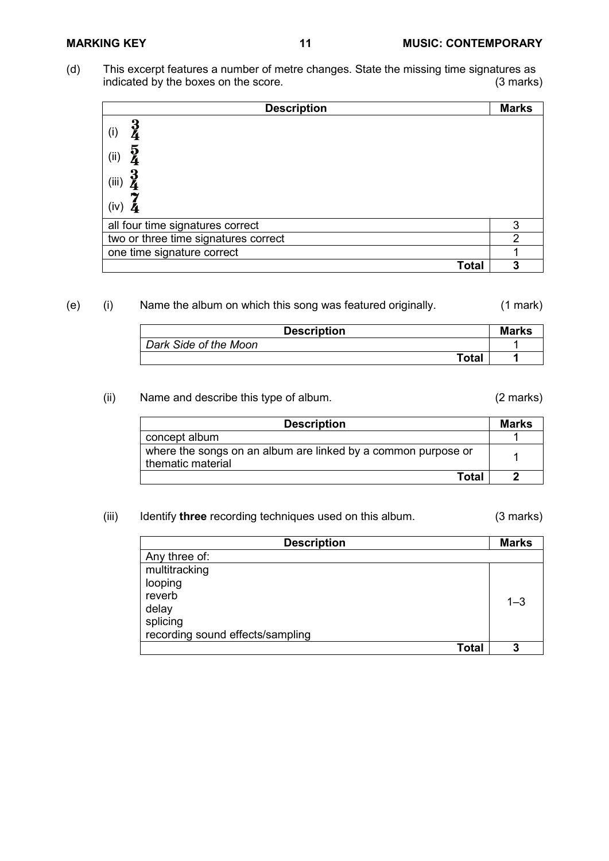(d) This excerpt features a number of metre changes. State the missing time signatures as indicated by the boxes on the score. indicated by the boxes on the score.

| <b>Description</b>                   | <b>Marks</b>   |
|--------------------------------------|----------------|
| 3<br>4<br>(i)                        |                |
| $\frac{5}{4}$<br>(i)                 |                |
| $\frac{3}{4}$<br>(iii)               |                |
| (iv)                                 |                |
| all four time signatures correct     | 3              |
| two or three time signatures correct | $\overline{2}$ |
| one time signature correct           |                |
| <b>Total</b>                         | 3              |

# (e) (i) Name the album on which this song was featured originally. (1 mark)

| <b>Description</b>    | <b>Marks</b> |
|-----------------------|--------------|
| Dark Side of the Moon |              |
| Total                 |              |

# (ii) Name and describe this type of album. (2 marks)

| <b>Description</b>                                                                 | Marks |
|------------------------------------------------------------------------------------|-------|
| concept album                                                                      |       |
| where the songs on an album are linked by a common purpose or<br>thematic material |       |
| Total                                                                              |       |

## (iii) Identify **three** recording techniques used on this album. (3 marks)

| <b>Description</b>               | <b>Marks</b> |
|----------------------------------|--------------|
| Any three of:                    |              |
| multitracking                    |              |
| looping                          |              |
| reverb                           | $1 - 3$      |
| delay                            |              |
| splicing                         |              |
| recording sound effects/sampling |              |
| <b>Total</b>                     | 3            |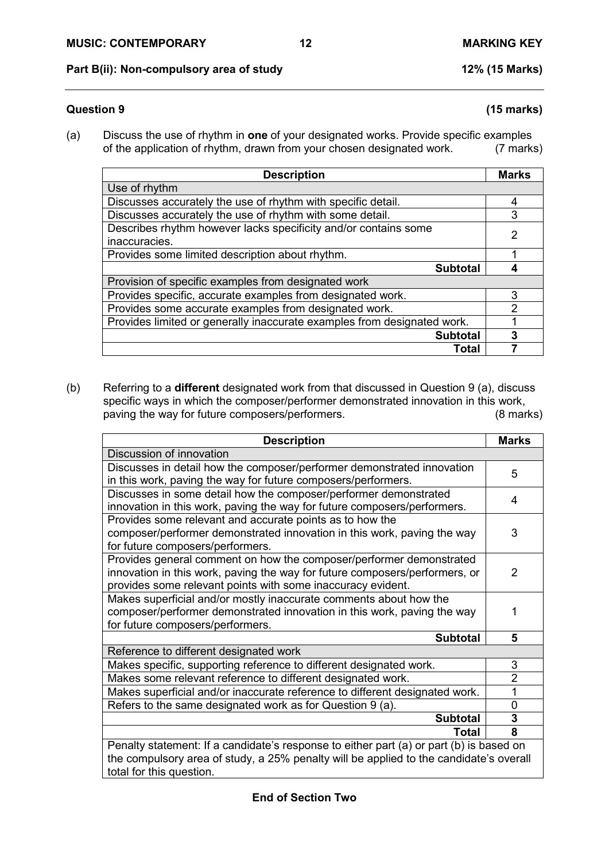# **Part B(ii): Non-compulsory area of study 12% (15 Marks)**

# **End of Section Two**

## **Question 9 (15 marks)**

(a) Discuss the use of rhythm in **one** of your designated works. Provide specific examples of the application of rhythm, drawn from your chosen designated work.

| <b>Description</b>                                                      | <b>Marks</b>   |
|-------------------------------------------------------------------------|----------------|
| Use of rhythm                                                           |                |
| Discusses accurately the use of rhythm with specific detail.            | 4              |
| Discusses accurately the use of rhythm with some detail.                | 3              |
| Describes rhythm however lacks specificity and/or contains some         | $\mathfrak{p}$ |
| inaccuracies.                                                           |                |
| Provides some limited description about rhythm.                         |                |
| <b>Subtotal</b>                                                         |                |
| Provision of specific examples from designated work                     |                |
| Provides specific, accurate examples from designated work.              | 3              |
| Provides some accurate examples from designated work.                   | 2              |
| Provides limited or generally inaccurate examples from designated work. |                |
| <b>Subtotal</b>                                                         | 3              |
| Total                                                                   |                |

(b) Referring to a **different** designated work from that discussed in Question 9 (a), discuss specific ways in which the composer/performer demonstrated innovation in this work,<br>paving the way for future composers/performers. (8 marks) paving the way for future composers/performers.

| <b>Description</b>                                                                      | <b>Marks</b>   |  |
|-----------------------------------------------------------------------------------------|----------------|--|
| Discussion of innovation                                                                |                |  |
| Discusses in detail how the composer/performer demonstrated innovation                  | 5              |  |
| in this work, paving the way for future composers/performers.                           |                |  |
| Discusses in some detail how the composer/performer demonstrated                        | 4              |  |
| innovation in this work, paving the way for future composers/performers.                |                |  |
| Provides some relevant and accurate points as to how the                                |                |  |
| composer/performer demonstrated innovation in this work, paving the way                 | 3              |  |
| for future composers/performers.                                                        |                |  |
| Provides general comment on how the composer/performer demonstrated                     |                |  |
| innovation in this work, paving the way for future composers/performers, or             | $\mathcal{P}$  |  |
| provides some relevant points with some inaccuracy evident.                             |                |  |
| Makes superficial and/or mostly inaccurate comments about how the                       |                |  |
| composer/performer demonstrated innovation in this work, paving the way                 |                |  |
| for future composers/performers.                                                        |                |  |
| <b>Subtotal</b>                                                                         | 5              |  |
| Reference to different designated work                                                  |                |  |
| Makes specific, supporting reference to different designated work.                      | 3              |  |
| Makes some relevant reference to different designated work.                             | $\overline{2}$ |  |
| Makes superficial and/or inaccurate reference to different designated work.             |                |  |
| Refers to the same designated work as for Question 9 (a).                               | $\Omega$       |  |
| <b>Subtotal</b>                                                                         | 3              |  |
| Total                                                                                   | 8              |  |
| Penalty statement: If a candidate's response to either part (a) or part (b) is based on |                |  |
| the compulsory area of study, a 25% penalty will be applied to the candidate's overall  |                |  |
| total for this question.                                                                |                |  |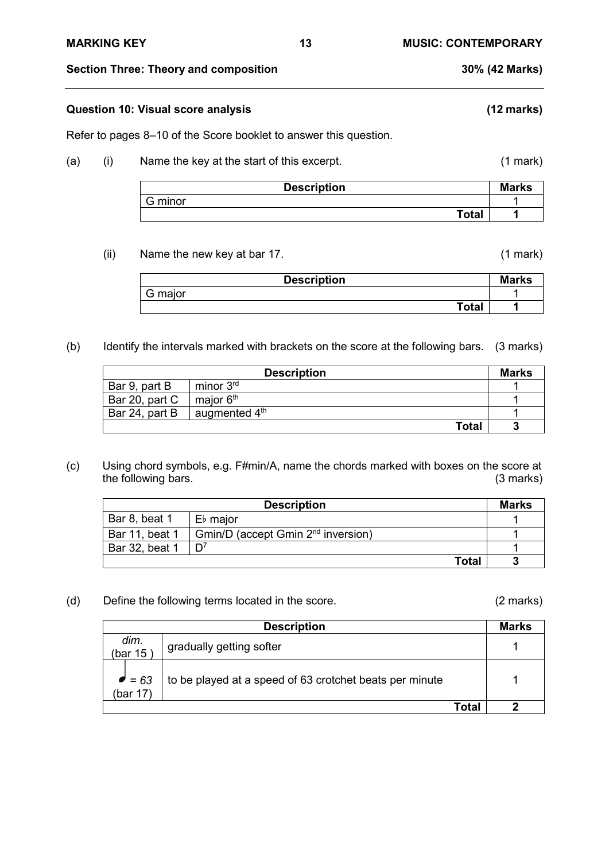**Section Three: Theory and composition 30% (42 Marks)**

## **Question 10: Visual score analysis (12 marks)**

Refer to pages 8–10 of the Score booklet to answer this question.

## (a) (i) Name the key at the start of this excerpt. (1 mark)

| <b>Description</b> | <b>Marks</b> |
|--------------------|--------------|
| G minor            |              |
| <b>Total</b>       |              |

(ii) Name the new key at bar 17. (1 mark)

| <b>Description</b> | <b>Marks</b> |
|--------------------|--------------|
| G major            |              |
| Total              |              |

(b) Identify the intervals marked with brackets on the score at the following bars. (3 marks)

|                | <b>Description</b>        | <b>Marks</b> |
|----------------|---------------------------|--------------|
| Bar 9, part B  | minor 3 <sup>rd</sup>     |              |
| Bar 20, part C | major 6 <sup>th</sup>     |              |
| Bar 24, part B | augmented $4^{\text{th}}$ |              |
|                | <b>Total</b>              |              |

(c) Using chord symbols, e.g. F#min/A, name the chords marked with boxes on the score at the following bars. (3 marks)

|                | <b>Description</b>                                    | <b>Marks</b> |
|----------------|-------------------------------------------------------|--------------|
| Bar 8, beat 1  | E♭ major                                              |              |
| Bar 11, beat 1 | $\mid$ Gmin/D (accept Gmin 2 <sup>nd</sup> inversion) |              |
| Bar 32, beat 1 |                                                       |              |
|                | Total                                                 |              |

(d) Define the following terms located in the score. (2 marks)

|                            | <b>Description</b>                                      |       | <b>Marks</b> |
|----------------------------|---------------------------------------------------------|-------|--------------|
| dim.<br>(bar $15$          | gradually getting softer                                |       |              |
| $\bullet$ = 63<br>(bar 17) | to be played at a speed of 63 crotchet beats per minute |       |              |
|                            |                                                         | Total |              |

**MARKING KEY 13 MUSIC: CONTEMPORARY**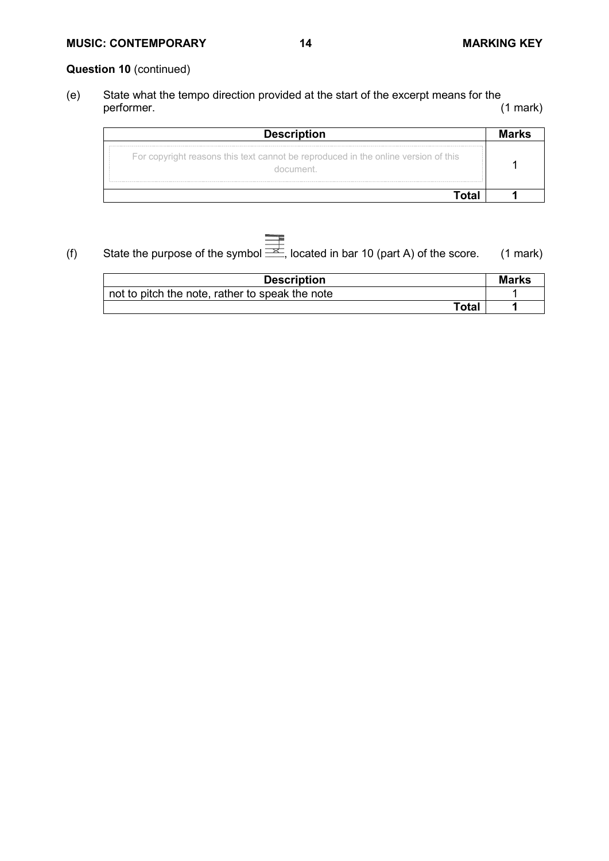# **MUSIC: CONTEMPORARY 14 MARKING KEY**

# **Question 10** (continued)

(e) State what the tempo direction provided at the start of the excerpt means for the performer.

| <b>Description</b>                                                                 |  |
|------------------------------------------------------------------------------------|--|
| For copyright reasons this text cannot be reproduced in the online version of this |  |
|                                                                                    |  |

(f) State the purpose of the symbol  $\overline{\overline{\phantom{A}}}\hspace{-0.1cm}$ , located in bar 10 (part A) of the score. (1 mark)

| <b>Description</b>                              | <b>Marks</b> |
|-------------------------------------------------|--------------|
| not to pitch the note, rather to speak the note |              |
| Total                                           |              |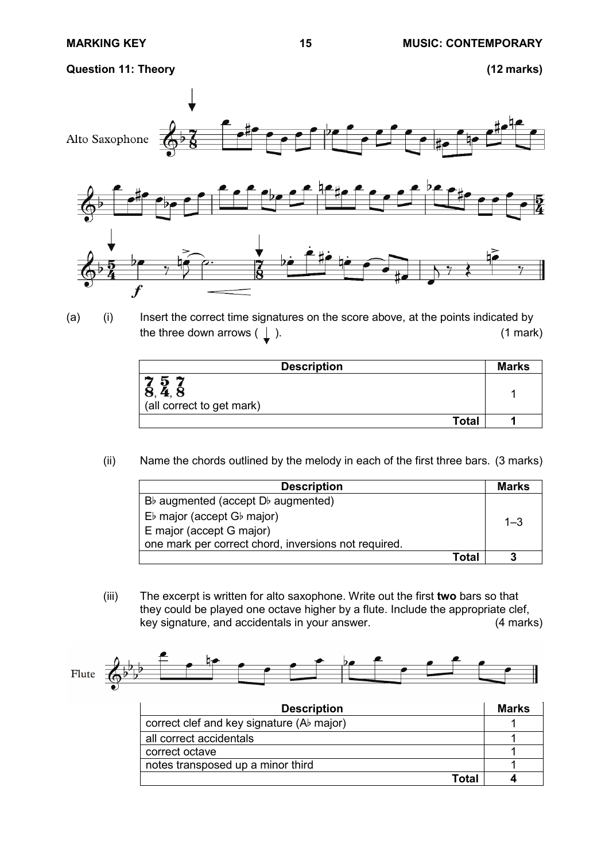**Question 11: Theory (12 marks)**



(a) (i) Insert the correct time signatures on the score above, at the points indicated by the three down arrows  $(\perp)$ . (1 mark)

| <b>Description</b>             | <b>Marks</b> |
|--------------------------------|--------------|
| ⌒<br>(all correct to get mark) |              |
| <b>Total</b>                   |              |

(ii) Name the chords outlined by the melody in each of the first three bars. (3 marks)

| <b>Description</b>                                   | Marks   |
|------------------------------------------------------|---------|
| $B\flat$ augmented (accept $D\flat$ augmented)       |         |
| $E\flat$ major (accept $G\flat$ major)               | $1 - 3$ |
| E major (accept G major)                             |         |
| one mark per correct chord, inversions not required. |         |
| Total                                                |         |

(iii) The excerpt is written for alto saxophone. Write out the first **two** bars so that they could be played one octave higher by a flute. Include the appropriate clef, key signature, and accidentals in your answer. (4 marks)

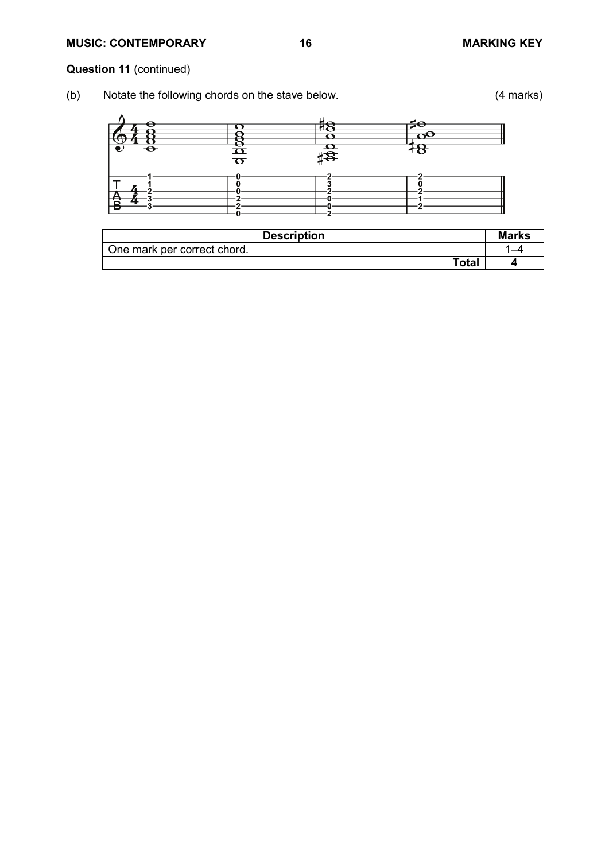# **MUSIC: CONTEMPORARY 16 MARKING KEY**

# **Question 11** (continued)

(b) Notate the following chords on the stave below. (4 marks)



| <b>Description</b>          | <b>Marks</b> |
|-----------------------------|--------------|
| One mark per correct chord. | –            |
| <b>Total</b>                | ⊿            |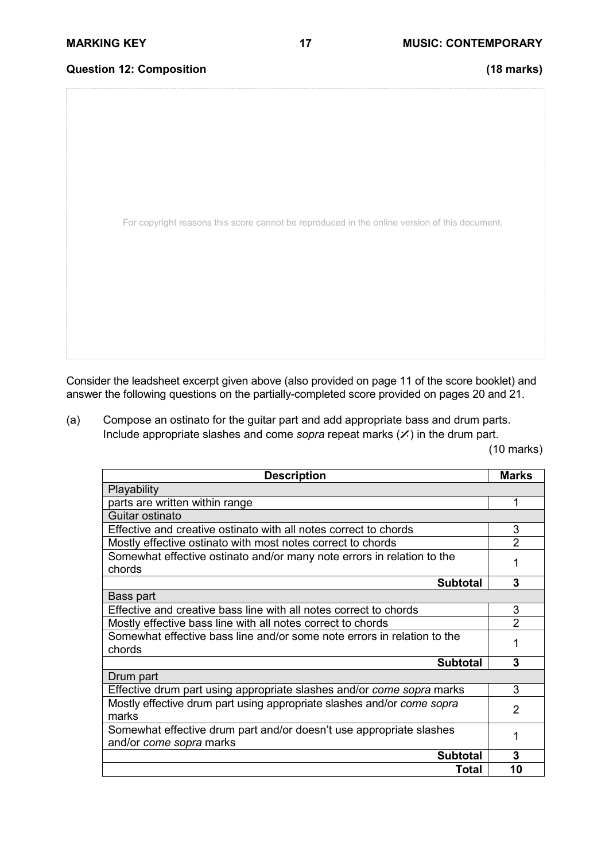# **Question 12: Composition (18 marks)**

For copyright reasons this score cannot be reproduced in the online version of this document.

Consider the leadsheet excerpt given above (also provided on page 11 of the score booklet) and answer the following questions on the partially-completed score provided on pages 20 and 21.

(a) Compose an ostinato for the guitar part and add appropriate bass and drum parts. Include appropriate slashes and come *sopra* repeat marks  $(X)$  in the drum part.

(10 marks)

| <b>Description</b>                                                                             |                |
|------------------------------------------------------------------------------------------------|----------------|
| Playability                                                                                    |                |
| parts are written within range                                                                 |                |
| Guitar ostinato                                                                                |                |
| Effective and creative ostinato with all notes correct to chords                               | 3              |
| Mostly effective ostinato with most notes correct to chords                                    | $\overline{2}$ |
| Somewhat effective ostinato and/or many note errors in relation to the<br>chords               |                |
| <b>Subtotal</b>                                                                                | 3              |
| Bass part                                                                                      |                |
| Effective and creative bass line with all notes correct to chords                              | 3              |
| Mostly effective bass line with all notes correct to chords                                    |                |
| Somewhat effective bass line and/or some note errors in relation to the<br>chords              |                |
| <b>Subtotal</b>                                                                                | 3              |
| Drum part                                                                                      |                |
| Effective drum part using appropriate slashes and/or come sopra marks                          | 3              |
| Mostly effective drum part using appropriate slashes and/or come sopra<br>marks                | $\mathcal{P}$  |
| Somewhat effective drum part and/or doesn't use appropriate slashes<br>and/or come sopra marks |                |
| <b>Subtotal</b>                                                                                | 3              |
| Total                                                                                          | 10             |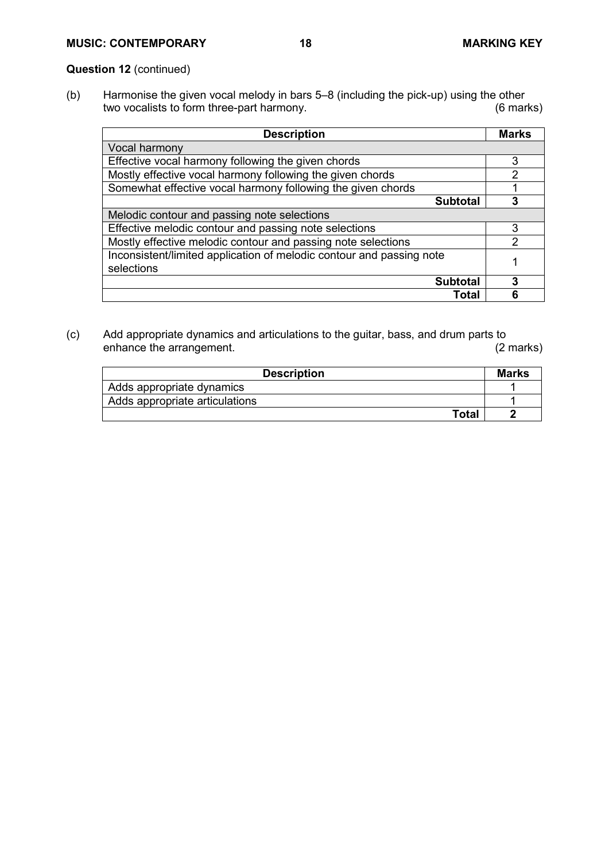# **Question 12** (continued)

(b) Harmonise the given vocal melody in bars 5–8 (including the pick-up) using the other two vocalists to form three-part harmony.

| <b>Description</b>                                                                 | <b>Marks</b>  |
|------------------------------------------------------------------------------------|---------------|
| Vocal harmony                                                                      |               |
| Effective vocal harmony following the given chords                                 | 3             |
| Mostly effective vocal harmony following the given chords                          | $\mathcal{P}$ |
| Somewhat effective vocal harmony following the given chords                        |               |
| <b>Subtotal</b>                                                                    | 3             |
| Melodic contour and passing note selections                                        |               |
| Effective melodic contour and passing note selections                              | 3             |
| Mostly effective melodic contour and passing note selections                       | $\mathcal{P}$ |
| Inconsistent/limited application of melodic contour and passing note<br>selections |               |
| <b>Subtotal</b>                                                                    | 3             |
| Total                                                                              | 6             |

(c) Add appropriate dynamics and articulations to the guitar, bass, and drum parts to enhance the arrangement.

| <b>Description</b>             | <b>Marks</b> |
|--------------------------------|--------------|
| Adds appropriate dynamics      |              |
| Adds appropriate articulations |              |
| Total                          |              |